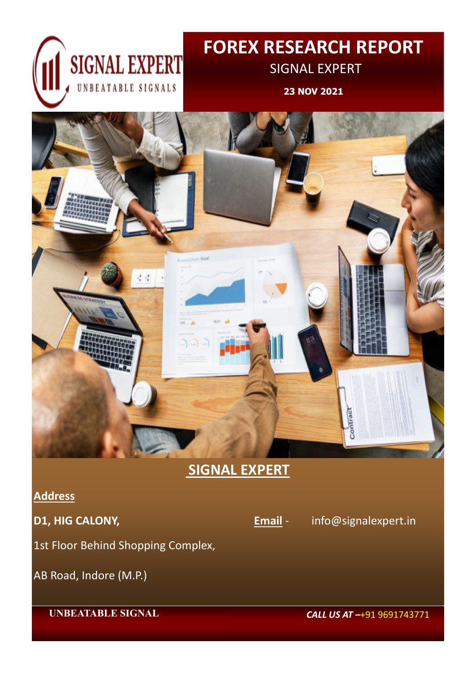

**23 NOV 2021**



**SIGNAL EXPERT** 

 **UNBEATABLE SIGNAL** *CALL US AT –*+91 9691743771

**Address** 





1st Floor Behind Shopping Complex,

## AB Road, Indore (M.P.)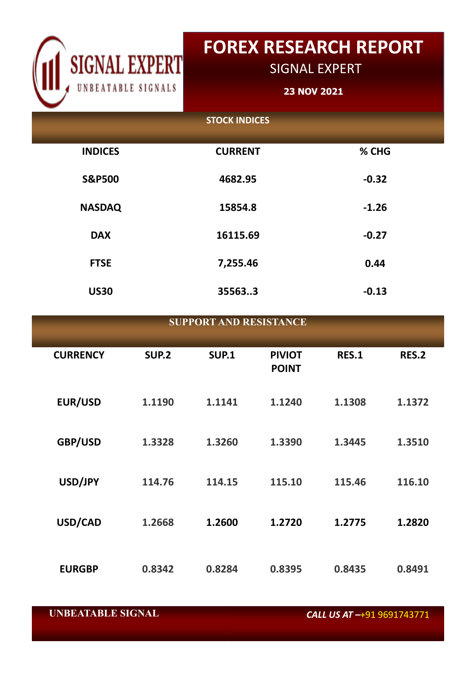

# **FOREX RESEARCH REPORT**

SIGNAL EXPERT

**23 NOV 2021**

 **UNBEATABLE SIGNAL** *CALL US AT –*+91 9691743771

| <b>SUPPORT AND RESISTANCE</b> |              |              |                               |              |              |  |
|-------------------------------|--------------|--------------|-------------------------------|--------------|--------------|--|
| <b>CURRENCY</b>               | <b>SUP.2</b> | <b>SUP.1</b> | <b>PIVIOT</b><br><b>POINT</b> | <b>RES.1</b> | <b>RES.2</b> |  |
| <b>EUR/USD</b>                | 1.1190       | 1.1141       | 1.1240                        | 1.1308       | 1.1372       |  |
| GBP/USD                       | 1.3328       | 1.3260       | 1.3390                        | 1.3445       | 1.3510       |  |
| USD/JPY                       | 114.76       | 114.15       | 115.10                        | 115.46       | 116.10       |  |

|                   | <b>STOCK INDICES</b> |         |
|-------------------|----------------------|---------|
| <b>INDICES</b>    | <b>CURRENT</b>       | % CHG   |
| <b>S&amp;P500</b> | 4682.95              | $-0.32$ |
| <b>NASDAQ</b>     | 15854.8              | $-1.26$ |
| <b>DAX</b>        | 16115.69             | $-0.27$ |
| <b>FTSE</b>       | 7,255.46             | 0.44    |
| <b>US30</b>       | 355633               | $-0.13$ |

**USD/CAD 1.2668 1.2600 1.2720 1.2775 1.2820**

## **EURGBP 0.8342 0.8284 0.8395 0.8435 0.8491**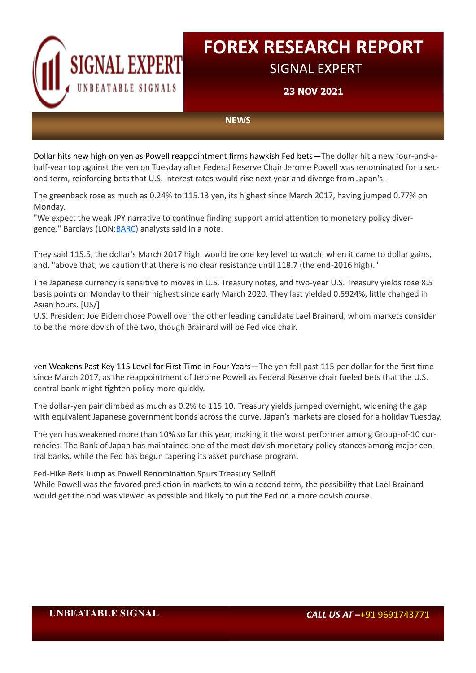

**23 NOV 2021**

### **UNBEATABLE SIGNAL** *CALL US AT –*+91 9691743771

**NEWS**

Dollar hits new high on yen as Powell reappointment firms hawkish Fed bets—The dollar hit a new four-and-ahalf-year top against the yen on Tuesday after Federal Reserve Chair Jerome Powell was renominated for a second term, reinforcing bets that U.S. interest rates would rise next year and diverge from Japan's.

The greenback rose as much as 0.24% to 115.13 yen, its highest since March 2017, having jumped 0.77% on Monday.

"We expect the weak JPY narrative to continue finding support amid attention to monetary policy divergence," Barclays (LON:[BARC\)](https://www.investing.com/equities/barclays) analysts said in a note.

They said 115.5, the dollar's March 2017 high, would be one key level to watch, when it came to dollar gains, and, "above that, we caution that there is no clear resistance until 118.7 (the end-2016 high)."

The Japanese currency is sensitive to moves in U.S. Treasury notes, and two-year U.S. Treasury yields rose 8.5 basis points on Monday to their highest since early March 2020. They last yielded 0.5924%, little changed in Asian hours. [US/]

U.S. President Joe Biden chose Powell over the other leading candidate Lael Brainard, whom markets consider to be the more dovish of the two, though Brainard will be Fed vice chair.

<sup>Y</sup>en Weakens Past Key 115 Level for First Time in Four Years—The yen fell past 115 per dollar for the first time since March 2017, as the reappointment of Jerome Powell as Federal Reserve chair fueled bets that the U.S. central bank might tighten policy more quickly.

The dollar-yen pair climbed as much as 0.2% to 115.10. Treasury yields jumped overnight, widening the gap with equivalent Japanese government bonds across the curve. Japan's markets are closed for a holiday Tuesday.

The yen has weakened more than 10% so far this year, making it the worst performer among Group-of-10 currencies. The Bank of Japan has maintained one of the most dovish monetary policy stances among major central banks, while the Fed has begun tapering its asset purchase program.

Fed-Hike Bets Jump as Powell Renomination Spurs Treasury Selloff While Powell was the favored prediction in markets to win a second term, the possibility that Lael Brainard would get the nod was viewed as possible and likely to put the Fed on a more dovish course.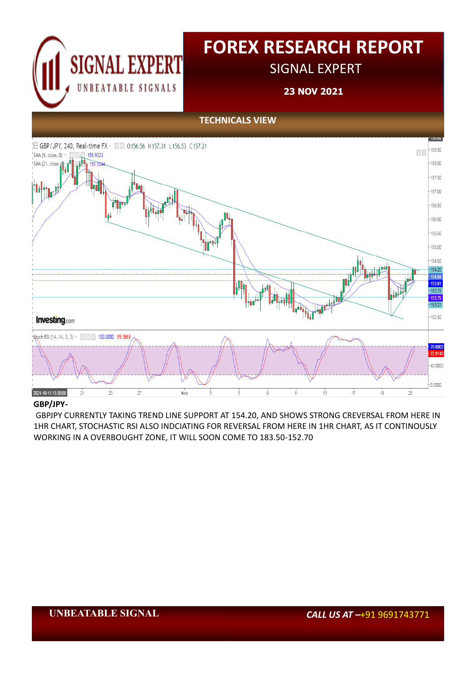

# **FOREX RESEARCH REPORT**

SIGNAL EXPERT

**23 NOV 2021**

## **UNBEATABLE SIGNAL** *CALL US AT –*+91 9691743771

## **GBP/JPY-**

 GBPJPY CURRENTLY TAKING TREND LINE SUPPORT AT 154.20, AND SHOWS STRONG CREVERSAL FROM HERE IN 1HR CHART, STOCHASTIC RSI ALSO INDCIATING FOR REVERSAL FROM HERE IN 1HR CHART, AS IT CONTINOUSLY WORKING IN A OVERBOUGHT ZONE, IT WILL SOON COME TO 183.50-152.70

**TECHNICALS VIEW**

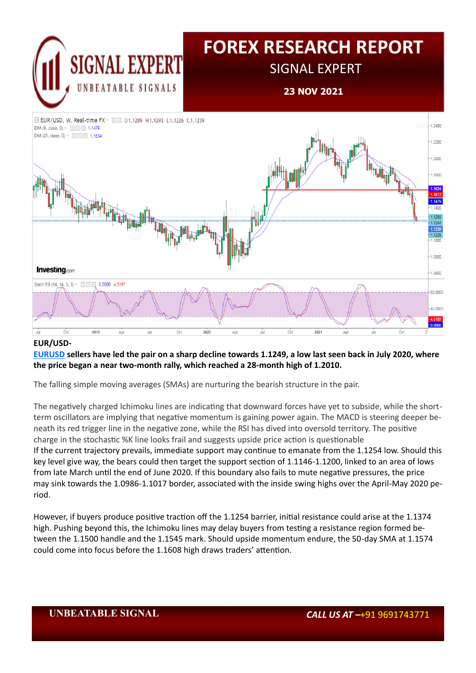

**23 NOV 2021**



## **UNBEATABLE SIGNAL** *CALL US AT –*+91 9691743771

### **EUR/USD-**

## **[EURUSD](https://www.investing.com/currencies/eur-usd) sellers have led the pair on a sharp decline towards 1.1249, a low last seen back in July 2020, where the price began a near two-month rally, which reached a 28-month high of 1.2010.**

The falling simple moving averages (SMAs) are nurturing the bearish structure in the pair.

The negatively charged Ichimoku lines are indicating that downward forces have yet to subside, while the shortterm oscillators are implying that negative momentum is gaining power again. The MACD is steering deeper beneath its red trigger line in the negative zone, while the RSI has dived into oversold territory. The positive charge in the stochastic %K line looks frail and suggests upside price action is questionable If the current trajectory prevails, immediate support may continue to emanate from the 1.1254 low. Should this key level give way, the bears could then target the support section of 1.1146-1.1200, linked to an area of lows from late March until the end of June 2020. If this boundary also fails to mute negative pressures, the price may sink towards the 1.0986-1.1017 border, associated with the inside swing highs over the April-May 2020 period.

However, if buyers produce positive traction off the 1.1254 barrier, initial resistance could arise at the 1.1374 high. Pushing beyond this, the Ichimoku lines may delay buyers from testing a resistance region formed between the 1.1500 handle and the 1.1545 mark. Should upside momentum endure, the 50-day SMA at 1.1574 could come into focus before the 1.1608 high draws traders' attention.